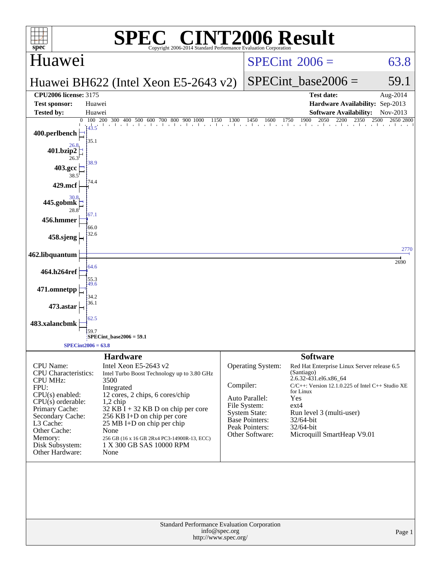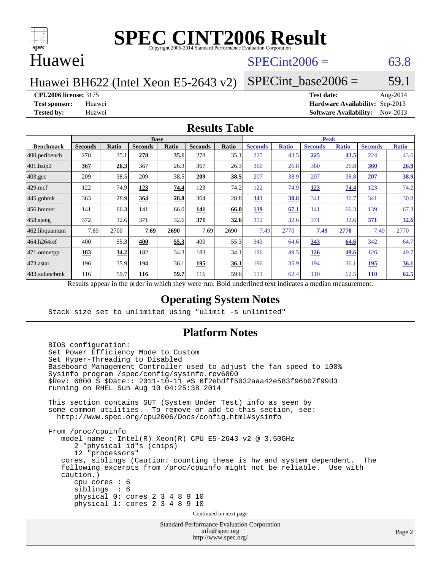

#### Huawei

### $SPECint2006 = 63.8$  $SPECint2006 = 63.8$

Huawei BH622 (Intel Xeon E5-2643 v2)

SPECint base2006 =  $59.1$ 

**[CPU2006 license:](http://www.spec.org/auto/cpu2006/Docs/result-fields.html#CPU2006license)** 3175 **[Test date:](http://www.spec.org/auto/cpu2006/Docs/result-fields.html#Testdate)** Aug-2014

**[Test sponsor:](http://www.spec.org/auto/cpu2006/Docs/result-fields.html#Testsponsor)** Huawei **[Hardware Availability:](http://www.spec.org/auto/cpu2006/Docs/result-fields.html#HardwareAvailability)** Sep-2013 **[Tested by:](http://www.spec.org/auto/cpu2006/Docs/result-fields.html#Testedby)** Huawei **[Software Availability:](http://www.spec.org/auto/cpu2006/Docs/result-fields.html#SoftwareAvailability)** Nov-2013

#### **[Results Table](http://www.spec.org/auto/cpu2006/Docs/result-fields.html#ResultsTable)**

| <b>Base</b>    |                               |                |       |                |       | <b>Peak</b>              |              |                |                                             |                |              |
|----------------|-------------------------------|----------------|-------|----------------|-------|--------------------------|--------------|----------------|---------------------------------------------|----------------|--------------|
| <b>Seconds</b> | <b>Ratio</b>                  | <b>Seconds</b> | Ratio | <b>Seconds</b> | Ratio | <b>Seconds</b>           | <b>Ratio</b> | <b>Seconds</b> | <b>Ratio</b>                                | <b>Seconds</b> | <b>Ratio</b> |
| 278            | 35.1                          | 278            | 35.1  | 278            | 35.1  | 225                      | 43.5         | 225            | 43.5                                        | 224            | 43.6         |
| 367            | 26.3                          | 367            | 26.3  | 367            | 26.3  | 360                      | 26.8         | 360            | 26.8                                        | 360            | 26.8         |
| 209            | 38.5                          | 209            | 38.5  | 209            | 38.5  | 207                      | 38.9         | 207            | 38.8                                        | 207            | 38.9         |
| 122            | 74.9                          | 123            | 74.4  | 123            | 74.2  | 122                      | 74.9         | 123            | 74.4                                        | 123            | 74.2         |
| 363            | 28.9                          | 364            | 28.8  | 364            | 28.8  | 341                      | 30.8         | 341            | 30.7                                        | 341            | 30.8         |
| 141            | 66.3                          | 141            | 66.0  | 141            | 66.0  | 139                      | 67.1         | 141            | 66.3                                        | 139            | 67.3         |
| 372            | 32.6                          | 371            | 32.6  | 371            | 32.6  | 372                      | 32.6         | 371            | 32.6                                        | 371            | 32.6         |
| 7.69           | 2700                          | 7.69           | 2690  | 7.69           | 2690  | 7.49                     | 2770         | 7.49           | 2770                                        | 7.49           | 2770         |
| 400            | 55.3                          | 400            | 55.3  | 400            | 55.3  | 343                      | 64.6         | 343            | 64.6                                        | 342            | 64.7         |
| 183            | 34.2                          | 182            | 34.3  | 183            | 34.1  | 126                      | 49.5         | 126            | 49.6                                        | 126            | 49.7         |
| 196            | 35.9                          | 194            | 36.1  | 195            | 36.1  | 196                      | 35.9         | 194            | 36.1                                        | 195            | 36.1         |
| 116            | 59.7                          | 116            | 59.7  | 116            | 59.6  | 111                      | 62.4         | 110            | 62.5                                        | <b>110</b>     | 62.5         |
|                | $\mathbf{D} \cdot \mathbf{A}$ |                |       |                |       | 2.111<br>1.3.1.<br>$-41$ |              |                | $D$ and $L$ and $L$ and $L$ and $L$ and $L$ |                |              |

Results appear in the [order in which they were run.](http://www.spec.org/auto/cpu2006/Docs/result-fields.html#RunOrder) Bold underlined text [indicates a median measurement.](http://www.spec.org/auto/cpu2006/Docs/result-fields.html#Median)

#### **[Operating System Notes](http://www.spec.org/auto/cpu2006/Docs/result-fields.html#OperatingSystemNotes)**

Stack size set to unlimited using "ulimit -s unlimited"

#### **[Platform Notes](http://www.spec.org/auto/cpu2006/Docs/result-fields.html#PlatformNotes)**

```
 BIOS configuration:
Set Power Efficiency Mode to Custom
Set Hyper-Threading to Disabled
Baseboard Management Controller used to adjust the fan speed to 100%
Sysinfo program /spec/config/sysinfo.rev6800
$Rev: 6800 $ $Date:: 2011-10-11 #$ 6f2ebdff5032aaa42e583f96b07f99d3
running on RHEL Sun Aug 10 04:25:38 2014
This section contains SUT (System Under Test) info as seen by
some common utilities. To remove or add to this section, see:
 http://www.spec.org/cpu2006/Docs/config.html#sysinfo
From /proc/cpuinfo
   model name : Intel(R) Xeon(R) CPU E5-2643 v2 @ 3.50GHz
      2 "physical id"s (chips)
      12 "processors"
   cores, siblings (Caution: counting these is hw and system dependent. The
   following excerpts from /proc/cpuinfo might not be reliable. Use with
   caution.)
      cpu cores : 6
      siblings : 6
      physical 0: cores 2 3 4 8 9 10
      physical 1: cores 2 3 4 8 9 10
                                  Continued on next page
```
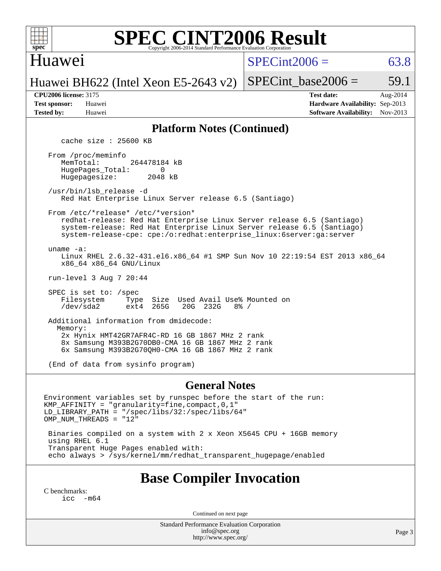

#### Huawei

 $SPECint2006 = 63.8$  $SPECint2006 = 63.8$ 

Huawei BH622 (Intel Xeon E5-2643 v2)

SPECint base2006 =  $59.1$ 

| <b>Test sponsor:</b> | Huawei |
|----------------------|--------|
| <b>Tested by:</b>    | Huawei |

**[CPU2006 license:](http://www.spec.org/auto/cpu2006/Docs/result-fields.html#CPU2006license)** 3175 **[Test date:](http://www.spec.org/auto/cpu2006/Docs/result-fields.html#Testdate)** Aug-2014 **[Hardware Availability:](http://www.spec.org/auto/cpu2006/Docs/result-fields.html#HardwareAvailability)** Sep-2013 **[Software Availability:](http://www.spec.org/auto/cpu2006/Docs/result-fields.html#SoftwareAvailability)** Nov-2013

#### **[Platform Notes \(Continued\)](http://www.spec.org/auto/cpu2006/Docs/result-fields.html#PlatformNotes)**

cache size : 25600 KB

 From /proc/meminfo MemTotal: 264478184 kB HugePages\_Total: 0<br>Hugepagesize: 2048 kB Hugepagesize:

 /usr/bin/lsb\_release -d Red Hat Enterprise Linux Server release 6.5 (Santiago)

From /etc/\*release\* /etc/\*version\*

 redhat-release: Red Hat Enterprise Linux Server release 6.5 (Santiago) system-release: Red Hat Enterprise Linux Server release 6.5 (Santiago) system-release-cpe: cpe:/o:redhat:enterprise\_linux:6server:ga:server

uname -a:

 Linux RHEL 2.6.32-431.el6.x86\_64 #1 SMP Sun Nov 10 22:19:54 EST 2013 x86\_64 x86\_64 x86\_64 GNU/Linux

run-level 3 Aug 7 20:44

SPEC is set to: /spec<br>Filesystem Type Type Size Used Avail Use% Mounted on<br>ext4 265G 20G 232G 8% / /dev/sda2 ext4 265G 20G 232G 8% /

 Additional information from dmidecode: Memory: 2x Hynix HMT42GR7AFR4C-RD 16 GB 1867 MHz 2 rank 8x Samsung M393B2G70DB0-CMA 16 GB 1867 MHz 2 rank 6x Samsung M393B2G70QH0-CMA 16 GB 1867 MHz 2 rank

(End of data from sysinfo program)

#### **[General Notes](http://www.spec.org/auto/cpu2006/Docs/result-fields.html#GeneralNotes)**

Environment variables set by runspec before the start of the run: KMP\_AFFINITY = "granularity=fine,compact,0,1" LD\_LIBRARY\_PATH = "/spec/libs/32:/spec/libs/64" OMP\_NUM\_THREADS = "12"

 Binaries compiled on a system with 2 x Xeon X5645 CPU + 16GB memory using RHEL 6.1 Transparent Huge Pages enabled with: echo always > /sys/kernel/mm/redhat\_transparent\_hugepage/enabled

## **[Base Compiler Invocation](http://www.spec.org/auto/cpu2006/Docs/result-fields.html#BaseCompilerInvocation)**

[C benchmarks](http://www.spec.org/auto/cpu2006/Docs/result-fields.html#Cbenchmarks): [icc -m64](http://www.spec.org/cpu2006/results/res2014q3/cpu2006-20140820-30979.flags.html#user_CCbase_intel_icc_64bit_f346026e86af2a669e726fe758c88044)

Continued on next page

Standard Performance Evaluation Corporation [info@spec.org](mailto:info@spec.org) <http://www.spec.org/>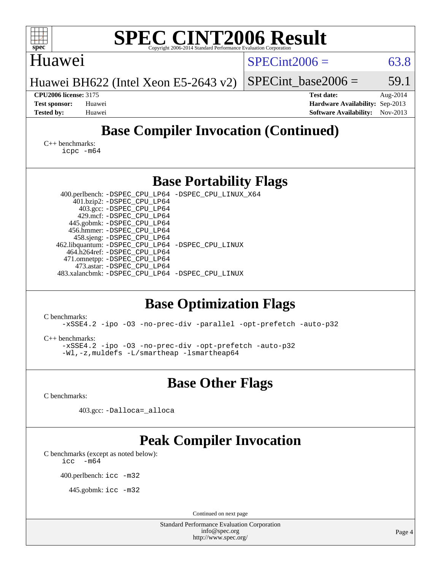| <b>SPEC CINT2006 Result</b><br>spec <sup>®</sup><br>Copyright 2006-2014 Standard Performance Evaluation Corporation                                                                                                                                                                                                                                                                                                                       |                                                                                                               |
|-------------------------------------------------------------------------------------------------------------------------------------------------------------------------------------------------------------------------------------------------------------------------------------------------------------------------------------------------------------------------------------------------------------------------------------------|---------------------------------------------------------------------------------------------------------------|
| Huawei                                                                                                                                                                                                                                                                                                                                                                                                                                    | $SPECint2006 =$<br>63.8                                                                                       |
| Huawei BH622 (Intel Xeon E5-2643 v2)                                                                                                                                                                                                                                                                                                                                                                                                      | SPECint base2006 $=$<br>59.1                                                                                  |
| <b>CPU2006 license: 3175</b><br><b>Test sponsor:</b><br>Huawei<br><b>Tested by:</b><br>Huawei                                                                                                                                                                                                                                                                                                                                             | <b>Test date:</b><br>Aug-2014<br>Hardware Availability: Sep-2013<br><b>Software Availability:</b><br>Nov-2013 |
| <b>Base Compiler Invocation (Continued)</b>                                                                                                                                                                                                                                                                                                                                                                                               |                                                                                                               |
| $C_{++}$ benchmarks:<br>icpc -m64                                                                                                                                                                                                                                                                                                                                                                                                         |                                                                                                               |
| <b>Base Portability Flags</b>                                                                                                                                                                                                                                                                                                                                                                                                             |                                                                                                               |
| 400.perlbench: -DSPEC_CPU_LP64 -DSPEC_CPU_LINUX_X64<br>401.bzip2: -DSPEC_CPU_LP64<br>403.gcc: -DSPEC_CPU_LP64<br>429.mcf: -DSPEC_CPU_LP64<br>445.gobmk: -DSPEC_CPU_LP64<br>456.hmmer: - DSPEC_CPU_LP64<br>458.sjeng: -DSPEC_CPU_LP64<br>462.libquantum: -DSPEC_CPU_LP64 -DSPEC_CPU_LINUX<br>464.h264ref: -DSPEC_CPU_LP64<br>471.omnetpp: -DSPEC_CPU_LP64<br>473.astar: -DSPEC CPU LP64<br>483.xalancbmk: -DSPEC_CPU_LP64 -DSPEC_CPU_LINUX |                                                                                                               |
| <b>Base Optimization Flags</b><br>C benchmarks:<br>-xSSE4.2 -ipo -03 -no-prec-div -parallel -opt-prefetch -auto-p32<br>$C_{++}$ benchmarks:<br>-xSSE4.2 -ipo -03 -no-prec-div -opt-prefetch -auto-p32<br>-Wl,-z,muldets -L/smartheap -Ismartheap64                                                                                                                                                                                        |                                                                                                               |
| <b>Base Other Flags</b>                                                                                                                                                                                                                                                                                                                                                                                                                   |                                                                                                               |
| C benchmarks:                                                                                                                                                                                                                                                                                                                                                                                                                             |                                                                                                               |
| 403.gcc: -Dalloca=_alloca                                                                                                                                                                                                                                                                                                                                                                                                                 |                                                                                                               |
| <b>Peak Compiler Invocation</b><br>C benchmarks (except as noted below):<br>$-m64$<br>icc<br>400.perlbench: icc -m32<br>445.gobmk: $\text{icc}$ -m32                                                                                                                                                                                                                                                                                      |                                                                                                               |
| Continued on next page<br>Standard Performance Evaluation Corporation                                                                                                                                                                                                                                                                                                                                                                     |                                                                                                               |
| info@spec.org<br>http://www.spec.org/                                                                                                                                                                                                                                                                                                                                                                                                     | Page 4                                                                                                        |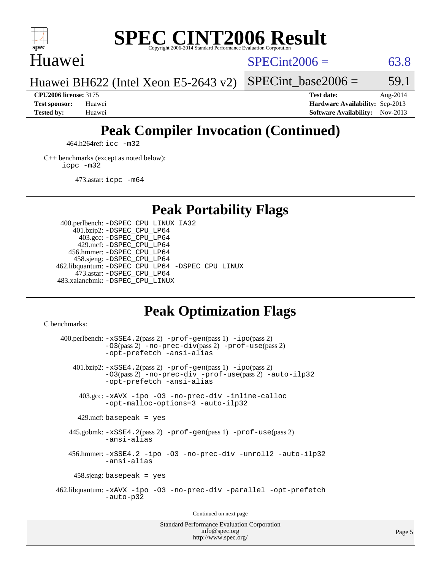

### Huawei

 $SPECint2006 = 63.8$  $SPECint2006 = 63.8$ 

Huawei BH622 (Intel Xeon E5-2643 v2)

**[CPU2006 license:](http://www.spec.org/auto/cpu2006/Docs/result-fields.html#CPU2006license)** 3175 **[Test date:](http://www.spec.org/auto/cpu2006/Docs/result-fields.html#Testdate)** Aug-2014 **[Test sponsor:](http://www.spec.org/auto/cpu2006/Docs/result-fields.html#Testsponsor)** Huawei **[Hardware Availability:](http://www.spec.org/auto/cpu2006/Docs/result-fields.html#HardwareAvailability)** Sep-2013 **[Tested by:](http://www.spec.org/auto/cpu2006/Docs/result-fields.html#Testedby)** Huawei **[Software Availability:](http://www.spec.org/auto/cpu2006/Docs/result-fields.html#SoftwareAvailability)** Nov-2013

SPECint base2006 =  $59.1$ 

# **[Peak Compiler Invocation \(Continued\)](http://www.spec.org/auto/cpu2006/Docs/result-fields.html#PeakCompilerInvocation)**

464.h264ref: [icc -m32](http://www.spec.org/cpu2006/results/res2014q3/cpu2006-20140820-30979.flags.html#user_peakCCLD464_h264ref_intel_icc_a6a621f8d50482236b970c6ac5f55f93)

[C++ benchmarks \(except as noted below\):](http://www.spec.org/auto/cpu2006/Docs/result-fields.html#CXXbenchmarksexceptasnotedbelow) [icpc -m32](http://www.spec.org/cpu2006/results/res2014q3/cpu2006-20140820-30979.flags.html#user_CXXpeak_intel_icpc_4e5a5ef1a53fd332b3c49e69c3330699)

473.astar: [icpc -m64](http://www.spec.org/cpu2006/results/res2014q3/cpu2006-20140820-30979.flags.html#user_peakCXXLD473_astar_intel_icpc_64bit_fc66a5337ce925472a5c54ad6a0de310)

## **[Peak Portability Flags](http://www.spec.org/auto/cpu2006/Docs/result-fields.html#PeakPortabilityFlags)**

 400.perlbench: [-DSPEC\\_CPU\\_LINUX\\_IA32](http://www.spec.org/cpu2006/results/res2014q3/cpu2006-20140820-30979.flags.html#b400.perlbench_peakCPORTABILITY_DSPEC_CPU_LINUX_IA32) 401.bzip2: [-DSPEC\\_CPU\\_LP64](http://www.spec.org/cpu2006/results/res2014q3/cpu2006-20140820-30979.flags.html#suite_peakPORTABILITY401_bzip2_DSPEC_CPU_LP64) 403.gcc: [-DSPEC\\_CPU\\_LP64](http://www.spec.org/cpu2006/results/res2014q3/cpu2006-20140820-30979.flags.html#suite_peakPORTABILITY403_gcc_DSPEC_CPU_LP64) 429.mcf: [-DSPEC\\_CPU\\_LP64](http://www.spec.org/cpu2006/results/res2014q3/cpu2006-20140820-30979.flags.html#suite_peakPORTABILITY429_mcf_DSPEC_CPU_LP64) 456.hmmer: [-DSPEC\\_CPU\\_LP64](http://www.spec.org/cpu2006/results/res2014q3/cpu2006-20140820-30979.flags.html#suite_peakPORTABILITY456_hmmer_DSPEC_CPU_LP64) 458.sjeng: [-DSPEC\\_CPU\\_LP64](http://www.spec.org/cpu2006/results/res2014q3/cpu2006-20140820-30979.flags.html#suite_peakPORTABILITY458_sjeng_DSPEC_CPU_LP64) 462.libquantum: [-DSPEC\\_CPU\\_LP64](http://www.spec.org/cpu2006/results/res2014q3/cpu2006-20140820-30979.flags.html#suite_peakPORTABILITY462_libquantum_DSPEC_CPU_LP64) [-DSPEC\\_CPU\\_LINUX](http://www.spec.org/cpu2006/results/res2014q3/cpu2006-20140820-30979.flags.html#b462.libquantum_peakCPORTABILITY_DSPEC_CPU_LINUX) 473.astar: [-DSPEC\\_CPU\\_LP64](http://www.spec.org/cpu2006/results/res2014q3/cpu2006-20140820-30979.flags.html#suite_peakPORTABILITY473_astar_DSPEC_CPU_LP64) 483.xalancbmk: [-DSPEC\\_CPU\\_LINUX](http://www.spec.org/cpu2006/results/res2014q3/cpu2006-20140820-30979.flags.html#b483.xalancbmk_peakCXXPORTABILITY_DSPEC_CPU_LINUX)

## **[Peak Optimization Flags](http://www.spec.org/auto/cpu2006/Docs/result-fields.html#PeakOptimizationFlags)**

[C benchmarks](http://www.spec.org/auto/cpu2006/Docs/result-fields.html#Cbenchmarks):

 $400.$ perlbench:  $-xSSE4$ .  $2(pass 2)$  -prof-qen(pass 1) [-ipo](http://www.spec.org/cpu2006/results/res2014q3/cpu2006-20140820-30979.flags.html#user_peakPASS2_CFLAGSPASS2_LDCFLAGS400_perlbench_f-ipo)(pass 2) [-O3](http://www.spec.org/cpu2006/results/res2014q3/cpu2006-20140820-30979.flags.html#user_peakPASS2_CFLAGSPASS2_LDCFLAGS400_perlbench_f-O3)(pass 2) [-no-prec-div](http://www.spec.org/cpu2006/results/res2014q3/cpu2006-20140820-30979.flags.html#user_peakPASS2_CFLAGSPASS2_LDCFLAGS400_perlbench_f-no-prec-div)(pass 2) [-prof-use](http://www.spec.org/cpu2006/results/res2014q3/cpu2006-20140820-30979.flags.html#user_peakPASS2_CFLAGSPASS2_LDCFLAGS400_perlbench_prof_use_bccf7792157ff70d64e32fe3e1250b55)(pass 2) [-opt-prefetch](http://www.spec.org/cpu2006/results/res2014q3/cpu2006-20140820-30979.flags.html#user_peakCOPTIMIZE400_perlbench_f-opt-prefetch) [-ansi-alias](http://www.spec.org/cpu2006/results/res2014q3/cpu2006-20140820-30979.flags.html#user_peakCOPTIMIZE400_perlbench_f-ansi-alias) 401.bzip2: [-xSSE4.2](http://www.spec.org/cpu2006/results/res2014q3/cpu2006-20140820-30979.flags.html#user_peakPASS2_CFLAGSPASS2_LDCFLAGS401_bzip2_f-xSSE42_f91528193cf0b216347adb8b939d4107)(pass 2) [-prof-gen](http://www.spec.org/cpu2006/results/res2014q3/cpu2006-20140820-30979.flags.html#user_peakPASS1_CFLAGSPASS1_LDCFLAGS401_bzip2_prof_gen_e43856698f6ca7b7e442dfd80e94a8fc)(pass 1) [-ipo](http://www.spec.org/cpu2006/results/res2014q3/cpu2006-20140820-30979.flags.html#user_peakPASS2_CFLAGSPASS2_LDCFLAGS401_bzip2_f-ipo)(pass 2) [-O3](http://www.spec.org/cpu2006/results/res2014q3/cpu2006-20140820-30979.flags.html#user_peakPASS2_CFLAGSPASS2_LDCFLAGS401_bzip2_f-O3)(pass 2) [-no-prec-div](http://www.spec.org/cpu2006/results/res2014q3/cpu2006-20140820-30979.flags.html#user_peakCOPTIMIZEPASS2_CFLAGSPASS2_LDCFLAGS401_bzip2_f-no-prec-div) [-prof-use](http://www.spec.org/cpu2006/results/res2014q3/cpu2006-20140820-30979.flags.html#user_peakPASS2_CFLAGSPASS2_LDCFLAGS401_bzip2_prof_use_bccf7792157ff70d64e32fe3e1250b55)(pass 2) [-auto-ilp32](http://www.spec.org/cpu2006/results/res2014q3/cpu2006-20140820-30979.flags.html#user_peakCOPTIMIZE401_bzip2_f-auto-ilp32) [-opt-prefetch](http://www.spec.org/cpu2006/results/res2014q3/cpu2006-20140820-30979.flags.html#user_peakCOPTIMIZE401_bzip2_f-opt-prefetch) [-ansi-alias](http://www.spec.org/cpu2006/results/res2014q3/cpu2006-20140820-30979.flags.html#user_peakCOPTIMIZE401_bzip2_f-ansi-alias) 403.gcc: [-xAVX](http://www.spec.org/cpu2006/results/res2014q3/cpu2006-20140820-30979.flags.html#user_peakCOPTIMIZE403_gcc_f-xAVX) [-ipo](http://www.spec.org/cpu2006/results/res2014q3/cpu2006-20140820-30979.flags.html#user_peakCOPTIMIZE403_gcc_f-ipo) [-O3](http://www.spec.org/cpu2006/results/res2014q3/cpu2006-20140820-30979.flags.html#user_peakCOPTIMIZE403_gcc_f-O3) [-no-prec-div](http://www.spec.org/cpu2006/results/res2014q3/cpu2006-20140820-30979.flags.html#user_peakCOPTIMIZE403_gcc_f-no-prec-div) [-inline-calloc](http://www.spec.org/cpu2006/results/res2014q3/cpu2006-20140820-30979.flags.html#user_peakCOPTIMIZE403_gcc_f-inline-calloc) [-opt-malloc-options=3](http://www.spec.org/cpu2006/results/res2014q3/cpu2006-20140820-30979.flags.html#user_peakCOPTIMIZE403_gcc_f-opt-malloc-options_13ab9b803cf986b4ee62f0a5998c2238) [-auto-ilp32](http://www.spec.org/cpu2006/results/res2014q3/cpu2006-20140820-30979.flags.html#user_peakCOPTIMIZE403_gcc_f-auto-ilp32)  $429$ .mcf: basepeak = yes 445.gobmk: [-xSSE4.2](http://www.spec.org/cpu2006/results/res2014q3/cpu2006-20140820-30979.flags.html#user_peakPASS2_CFLAGSPASS2_LDCFLAGS445_gobmk_f-xSSE42_f91528193cf0b216347adb8b939d4107)(pass 2) [-prof-gen](http://www.spec.org/cpu2006/results/res2014q3/cpu2006-20140820-30979.flags.html#user_peakPASS1_CFLAGSPASS1_LDCFLAGS445_gobmk_prof_gen_e43856698f6ca7b7e442dfd80e94a8fc)(pass 1) [-prof-use](http://www.spec.org/cpu2006/results/res2014q3/cpu2006-20140820-30979.flags.html#user_peakPASS2_CFLAGSPASS2_LDCFLAGS445_gobmk_prof_use_bccf7792157ff70d64e32fe3e1250b55)(pass 2) [-ansi-alias](http://www.spec.org/cpu2006/results/res2014q3/cpu2006-20140820-30979.flags.html#user_peakCOPTIMIZE445_gobmk_f-ansi-alias) 456.hmmer: [-xSSE4.2](http://www.spec.org/cpu2006/results/res2014q3/cpu2006-20140820-30979.flags.html#user_peakCOPTIMIZE456_hmmer_f-xSSE42_f91528193cf0b216347adb8b939d4107) [-ipo](http://www.spec.org/cpu2006/results/res2014q3/cpu2006-20140820-30979.flags.html#user_peakCOPTIMIZE456_hmmer_f-ipo) [-O3](http://www.spec.org/cpu2006/results/res2014q3/cpu2006-20140820-30979.flags.html#user_peakCOPTIMIZE456_hmmer_f-O3) [-no-prec-div](http://www.spec.org/cpu2006/results/res2014q3/cpu2006-20140820-30979.flags.html#user_peakCOPTIMIZE456_hmmer_f-no-prec-div) [-unroll2](http://www.spec.org/cpu2006/results/res2014q3/cpu2006-20140820-30979.flags.html#user_peakCOPTIMIZE456_hmmer_f-unroll_784dae83bebfb236979b41d2422d7ec2) [-auto-ilp32](http://www.spec.org/cpu2006/results/res2014q3/cpu2006-20140820-30979.flags.html#user_peakCOPTIMIZE456_hmmer_f-auto-ilp32) [-ansi-alias](http://www.spec.org/cpu2006/results/res2014q3/cpu2006-20140820-30979.flags.html#user_peakCOPTIMIZE456_hmmer_f-ansi-alias) 458.sjeng: basepeak = yes 462.libquantum: [-xAVX](http://www.spec.org/cpu2006/results/res2014q3/cpu2006-20140820-30979.flags.html#user_peakCOPTIMIZE462_libquantum_f-xAVX) [-ipo](http://www.spec.org/cpu2006/results/res2014q3/cpu2006-20140820-30979.flags.html#user_peakCOPTIMIZE462_libquantum_f-ipo) [-O3](http://www.spec.org/cpu2006/results/res2014q3/cpu2006-20140820-30979.flags.html#user_peakCOPTIMIZE462_libquantum_f-O3) [-no-prec-div](http://www.spec.org/cpu2006/results/res2014q3/cpu2006-20140820-30979.flags.html#user_peakCOPTIMIZE462_libquantum_f-no-prec-div) [-parallel](http://www.spec.org/cpu2006/results/res2014q3/cpu2006-20140820-30979.flags.html#user_peakCOPTIMIZE462_libquantum_f-parallel) [-opt-prefetch](http://www.spec.org/cpu2006/results/res2014q3/cpu2006-20140820-30979.flags.html#user_peakCOPTIMIZE462_libquantum_f-opt-prefetch) [-auto-p32](http://www.spec.org/cpu2006/results/res2014q3/cpu2006-20140820-30979.flags.html#user_peakCOPTIMIZE462_libquantum_f-auto-p32) Continued on next page

Standard Performance Evaluation Corporation [info@spec.org](mailto:info@spec.org) <http://www.spec.org/>